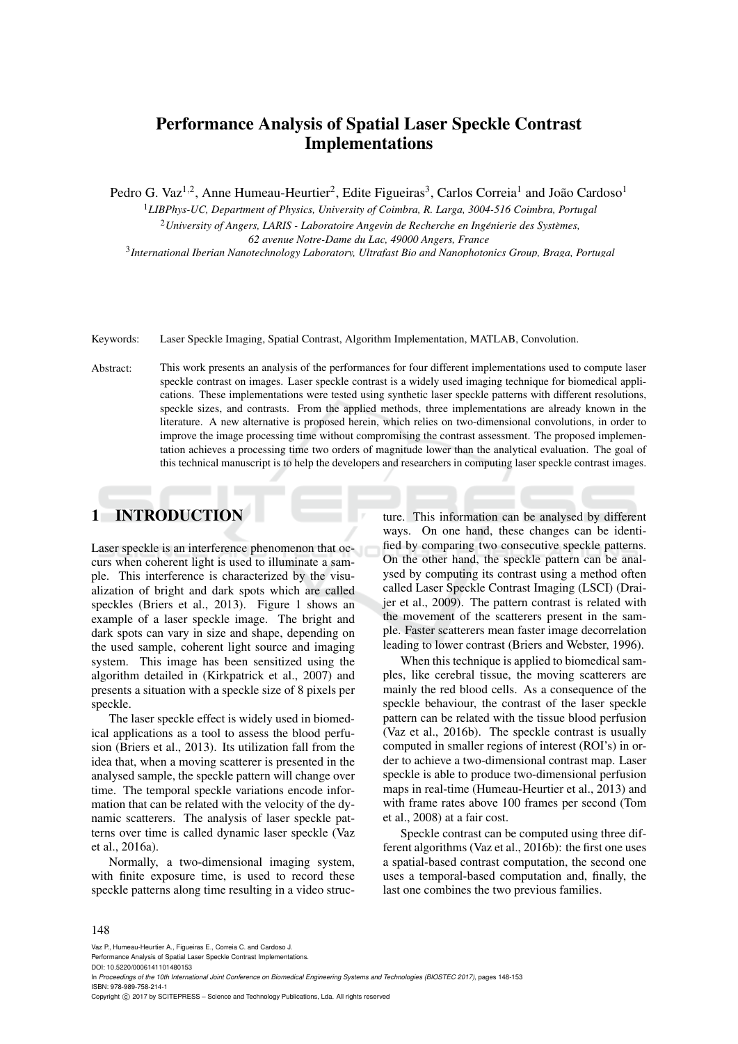# Performance Analysis of Spatial Laser Speckle Contrast Implementations

Pedro G. Vaz<sup>1,2</sup>, Anne Humeau-Heurtier<sup>2</sup>, Edite Figueiras<sup>3</sup>, Carlos Correia<sup>1</sup> and João Cardoso<sup>1</sup>

<sup>1</sup>*LIBPhys-UC, Department of Physics, University of Coimbra, R. Larga, 3004-516 Coimbra, Portugal* <sup>2</sup> University of Angers, LARIS - Laboratoire Angevin de Recherche en Ingénierie des Systèmes, *62 avenue Notre-Dame du Lac, 49000 Angers, France*

3 *International Iberian Nanotechnology Laboratory, Ultrafast Bio and Nanophotonics Group, Braga, Portugal*

Keywords: Laser Speckle Imaging, Spatial Contrast, Algorithm Implementation, MATLAB, Convolution.

Abstract: This work presents an analysis of the performances for four different implementations used to compute laser speckle contrast on images. Laser speckle contrast is a widely used imaging technique for biomedical applications. These implementations were tested using synthetic laser speckle patterns with different resolutions, speckle sizes, and contrasts. From the applied methods, three implementations are already known in the literature. A new alternative is proposed herein, which relies on two-dimensional convolutions, in order to improve the image processing time without compromising the contrast assessment. The proposed implementation achieves a processing time two orders of magnitude lower than the analytical evaluation. The goal of this technical manuscript is to help the developers and researchers in computing laser speckle contrast images.

## 1 INTRODUCTION

Laser speckle is an interference phenomenon that occurs when coherent light is used to illuminate a sample. This interference is characterized by the visualization of bright and dark spots which are called speckles (Briers et al., 2013). Figure 1 shows an example of a laser speckle image. The bright and dark spots can vary in size and shape, depending on the used sample, coherent light source and imaging system. This image has been sensitized using the algorithm detailed in (Kirkpatrick et al., 2007) and presents a situation with a speckle size of 8 pixels per speckle.

The laser speckle effect is widely used in biomedical applications as a tool to assess the blood perfusion (Briers et al., 2013). Its utilization fall from the idea that, when a moving scatterer is presented in the analysed sample, the speckle pattern will change over time. The temporal speckle variations encode information that can be related with the velocity of the dynamic scatterers. The analysis of laser speckle patterns over time is called dynamic laser speckle (Vaz et al., 2016a).

Normally, a two-dimensional imaging system, with finite exposure time, is used to record these speckle patterns along time resulting in a video structure. This information can be analysed by different ways. On one hand, these changes can be identified by comparing two consecutive speckle patterns. On the other hand, the speckle pattern can be analysed by computing its contrast using a method often called Laser Speckle Contrast Imaging (LSCI) (Draijer et al., 2009). The pattern contrast is related with the movement of the scatterers present in the sample. Faster scatterers mean faster image decorrelation leading to lower contrast (Briers and Webster, 1996).

When this technique is applied to biomedical samples, like cerebral tissue, the moving scatterers are mainly the red blood cells. As a consequence of the speckle behaviour, the contrast of the laser speckle pattern can be related with the tissue blood perfusion (Vaz et al., 2016b). The speckle contrast is usually computed in smaller regions of interest (ROI's) in order to achieve a two-dimensional contrast map. Laser speckle is able to produce two-dimensional perfusion maps in real-time (Humeau-Heurtier et al., 2013) and with frame rates above 100 frames per second (Tom et al., 2008) at a fair cost.

Speckle contrast can be computed using three different algorithms (Vaz et al., 2016b): the first one uses a spatial-based contrast computation, the second one uses a temporal-based computation and, finally, the last one combines the two previous families.

#### 148

Vaz P., Humeau-Heurtier A., Figueiras E., Correia C. and Cardoso J.

Performance Analysis of Spatial Laser Speckle Contrast Implementations.

DOI: 10.5220/0006141101480153

In *Proceedings of the 10th International Joint Conference on Biomedical Engineering Systems and Technologies (BIOSTEC 2017)*, pages 148-153 ISBN: 978-989-758-214-1

Copyright (C) 2017 by SCITEPRESS - Science and Technology Publications, Lda. All rights reserved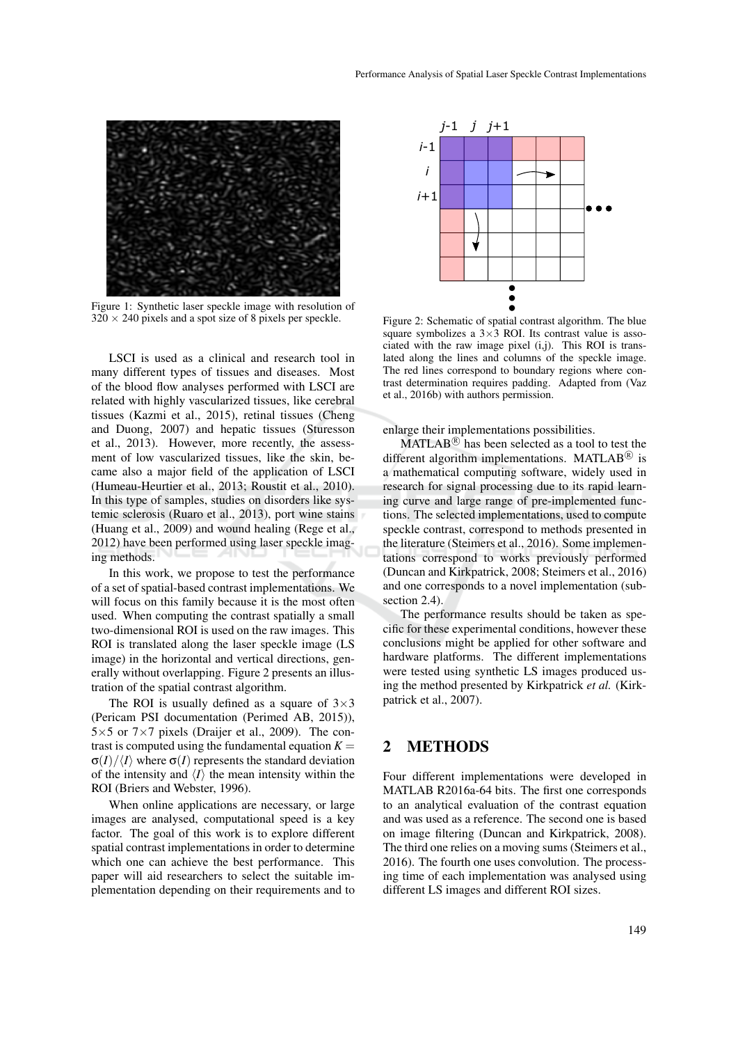

Figure 1: Synthetic laser speckle image with resolution of  $320 \times 240$  pixels and a spot size of 8 pixels per speckle.

LSCI is used as a clinical and research tool in many different types of tissues and diseases. Most of the blood flow analyses performed with LSCI are related with highly vascularized tissues, like cerebral tissues (Kazmi et al., 2015), retinal tissues (Cheng and Duong, 2007) and hepatic tissues (Sturesson et al., 2013). However, more recently, the assessment of low vascularized tissues, like the skin, became also a major field of the application of LSCI (Humeau-Heurtier et al., 2013; Roustit et al., 2010). In this type of samples, studies on disorders like systemic sclerosis (Ruaro et al., 2013), port wine stains (Huang et al., 2009) and wound healing (Rege et al., 2012) have been performed using laser speckle imaging methods.

In this work, we propose to test the performance of a set of spatial-based contrast implementations. We will focus on this family because it is the most often used. When computing the contrast spatially a small two-dimensional ROI is used on the raw images. This ROI is translated along the laser speckle image (LS image) in the horizontal and vertical directions, generally without overlapping. Figure 2 presents an illustration of the spatial contrast algorithm.

The ROI is usually defined as a square of  $3\times3$ (Pericam PSI documentation (Perimed AB, 2015)),  $5\times5$  or  $7\times7$  pixels (Draijer et al., 2009). The contrast is computed using the fundamental equation  $K =$  $\sigma(I)/\langle I \rangle$  where  $\sigma(I)$  represents the standard deviation of the intensity and  $\langle I \rangle$  the mean intensity within the ROI (Briers and Webster, 1996).

When online applications are necessary, or large images are analysed, computational speed is a key factor. The goal of this work is to explore different spatial contrast implementations in order to determine which one can achieve the best performance. This paper will aid researchers to select the suitable implementation depending on their requirements and to



Figure 2: Schematic of spatial contrast algorithm. The blue square symbolizes a  $3\times3$  ROI. Its contrast value is associated with the raw image pixel (i,j). This ROI is translated along the lines and columns of the speckle image. The red lines correspond to boundary regions where contrast determination requires padding. Adapted from (Vaz et al., 2016b) with authors permission.

enlarge their implementations possibilities.

 $MATLAB<sup>(R)</sup>$  has been selected as a tool to test the different algorithm implementations. MATLAB $\textcircled{\tiny{R}}$  is a mathematical computing software, widely used in research for signal processing due to its rapid learning curve and large range of pre-implemented functions. The selected implementations, used to compute speckle contrast, correspond to methods presented in the literature (Steimers et al., 2016). Some implementations correspond to works previously performed (Duncan and Kirkpatrick, 2008; Steimers et al., 2016) and one corresponds to a novel implementation (subsection 2.4).

The performance results should be taken as specific for these experimental conditions, however these conclusions might be applied for other software and hardware platforms. The different implementations were tested using synthetic LS images produced using the method presented by Kirkpatrick *et al.* (Kirkpatrick et al., 2007).

### 2 METHODS

Four different implementations were developed in MATLAB R2016a-64 bits. The first one corresponds to an analytical evaluation of the contrast equation and was used as a reference. The second one is based on image filtering (Duncan and Kirkpatrick, 2008). The third one relies on a moving sums (Steimers et al., 2016). The fourth one uses convolution. The processing time of each implementation was analysed using different LS images and different ROI sizes.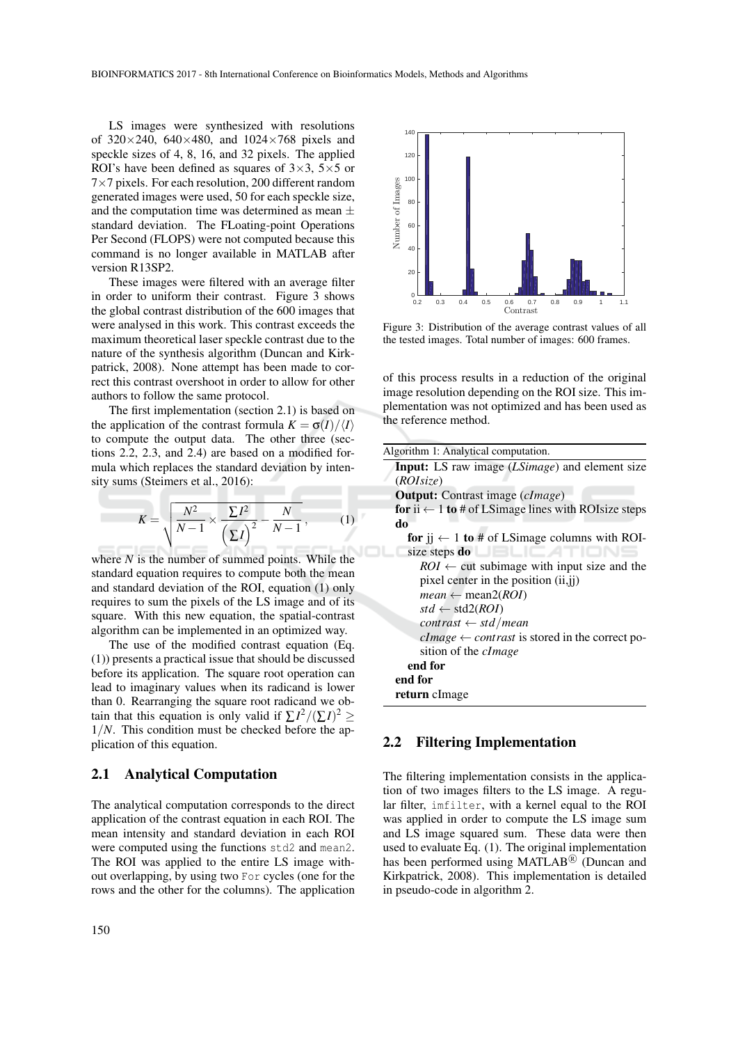LS images were synthesized with resolutions of  $320 \times 240$ ,  $640 \times 480$ , and  $1024 \times 768$  pixels and speckle sizes of 4, 8, 16, and 32 pixels. The applied ROI's have been defined as squares of  $3\times3$ ,  $5\times5$  or 7×7 pixels. For each resolution, 200 different random generated images were used, 50 for each speckle size, and the computation time was determined as mean  $\pm$ standard deviation. The FLoating-point Operations Per Second (FLOPS) were not computed because this command is no longer available in MATLAB after version R13SP2.

These images were filtered with an average filter in order to uniform their contrast. Figure 3 shows the global contrast distribution of the 600 images that were analysed in this work. This contrast exceeds the maximum theoretical laser speckle contrast due to the nature of the synthesis algorithm (Duncan and Kirkpatrick, 2008). None attempt has been made to correct this contrast overshoot in order to allow for other authors to follow the same protocol.

The first implementation (section 2.1) is based on the application of the contrast formula  $K = \sigma(I)/\langle I \rangle$ to compute the output data. The other three (sections 2.2, 2.3, and 2.4) are based on a modified formula which replaces the standard deviation by intensity sums (Steimers et al., 2016):

$$
K = \sqrt{\frac{N^2}{N-1} \times \frac{\Sigma I^2}{\left(\Sigma I\right)^2} - \frac{N}{N-1}},\tag{1}
$$

where *N* is the number of summed points. While the standard equation requires to compute both the mean and standard deviation of the ROI, equation (1) only requires to sum the pixels of the LS image and of its square. With this new equation, the spatial-contrast algorithm can be implemented in an optimized way.

The use of the modified contrast equation (Eq. (1)) presents a practical issue that should be discussed before its application. The square root operation can lead to imaginary values when its radicand is lower than 0. Rearranging the square root radicand we obtain that this equation is only valid if  $\sum I^2/(\sum I)^2 \ge$ 1/*N*. This condition must be checked before the application of this equation.

#### 2.1 Analytical Computation

The analytical computation corresponds to the direct application of the contrast equation in each ROI. The mean intensity and standard deviation in each ROI were computed using the functions std2 and mean2. The ROI was applied to the entire LS image without overlapping, by using two For cycles (one for the rows and the other for the columns). The application



Figure 3: Distribution of the average contrast values of all the tested images. Total number of images: 600 frames.

of this process results in a reduction of the original image resolution depending on the ROI size. This implementation was not optimized and has been used as the reference method.

| Algorithm 1: Analytical computation.                                        |
|-----------------------------------------------------------------------------|
| <b>Input:</b> LS raw image ( <i>LSimage</i> ) and element size<br>(ROIsize) |
| <b>Output:</b> Contrast image ( <i>cImage</i> )                             |
| for ii $\leftarrow$ 1 to # of LSimage lines with ROIsize steps              |
| do                                                                          |
| for $i$ $j \leftarrow 1$ to # of LSimage columns with ROI-                  |
| size steps do                                                               |
| $ROI \leftarrow$ cut subimage with input size and the                       |
| pixel center in the position (ii,jj)                                        |
| <i>mean</i> $\leftarrow$ mean2( <i>ROI</i> )                                |
| $std \leftarrow std2(ROI)$                                                  |
| $contrast \leftarrow std /mean$                                             |
| $clmage \leftarrow contrast$ is stored in the correct po-                   |
| sition of the <i>cImage</i>                                                 |
| end for                                                                     |
| end for                                                                     |
| return clmage                                                               |

### 2.2 Filtering Implementation

The filtering implementation consists in the application of two images filters to the LS image. A regular filter, imfilter, with a kernel equal to the ROI was applied in order to compute the LS image sum and LS image squared sum. These data were then used to evaluate Eq. (1). The original implementation has been performed using MATLAB<sup>®</sup> (Duncan and Kirkpatrick, 2008). This implementation is detailed in pseudo-code in algorithm 2.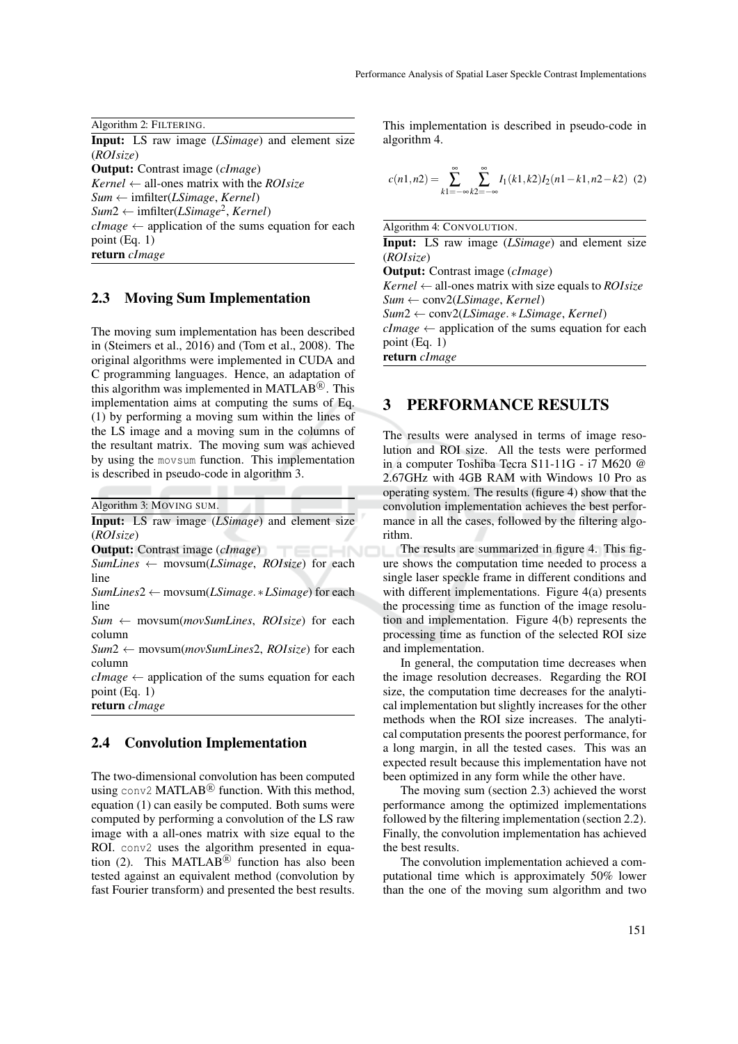Algorithm 2: FILTERING.

Input: LS raw image (*LSimage*) and element size (*ROIsize*) Output: Contrast image (*cImage*)

*Kernel* ← all-ones matrix with the *ROIsize Sum* ← imfilter(*LSimage*, *Kernel*) *Sum*<sup>2</sup> <sup>←</sup> imfilter(*LSimage*<sup>2</sup> , *Kernel*)  $clmage \leftarrow$  application of the sums equation for each point (Eq. 1) return *cImage*

#### 2.3 Moving Sum Implementation

The moving sum implementation has been described in (Steimers et al., 2016) and (Tom et al., 2008). The original algorithms were implemented in CUDA and C programming languages. Hence, an adaptation of this algorithm was implemented in MATLAB<sup>®</sup>. This implementation aims at computing the sums of Eq. (1) by performing a moving sum within the lines of the LS image and a moving sum in the columns of the resultant matrix. The moving sum was achieved by using the movsum function. This implementation is described in pseudo-code in algorithm 3.

Algorithm 3: MOVING SUM.

Input: LS raw image (*LSimage*) and element size (*ROIsize*)

Output: Contrast image (*cImage*)

*SumLines* ← movsum(*LSimage*, *ROIsize*) for each line

*SumLines*2 ← movsum(*LSimage*.∗*LSimage*) for each line

*Sum* ← movsum(*movSumLines*, *ROIsize*) for each column

*Sum*2 ← movsum(*movSumLines*2, *ROIsize*) for each column

 $clmage \leftarrow application of the sums equation for each$ point (Eq. 1)

return *cImage*

#### 2.4 Convolution Implementation

The two-dimensional convolution has been computed using conv2 MATLAB $\mathbb{B}$  function. With this method, equation (1) can easily be computed. Both sums were computed by performing a convolution of the LS raw image with a all-ones matrix with size equal to the ROI. conv2 uses the algorithm presented in equation (2). This MATLAB<sup>(8)</sup> function has also been tested against an equivalent method (convolution by fast Fourier transform) and presented the best results.

This implementation is described in pseudo-code in algorithm 4.

$$
c(n1, n2) = \sum_{k1 = -\infty}^{\infty} \sum_{k2 = -\infty}^{\infty} I_1(k1, k2) I_2(n1 - k1, n2 - k2) \tag{2}
$$

Algorithm 4: CONVOLUTION.

Input: LS raw image (*LSimage*) and element size (*ROIsize*)

Output: Contrast image (*cImage*)

*Kernel* ← all-ones matrix with size equals to *ROIsize Sum* ← conv2(*LSimage*, *Kernel*)

*Sum*2 ← conv2(*LSimage*. ∗*LSimage*, *Kernel*)

 $clmage \leftarrow application of the sums equation for each$ point (Eq. 1)

return *cImage*

### 3 PERFORMANCE RESULTS

The results were analysed in terms of image resolution and ROI size. All the tests were performed in a computer Toshiba Tecra S11-11G - i7 M620 @ 2.67GHz with 4GB RAM with Windows 10 Pro as operating system. The results (figure 4) show that the convolution implementation achieves the best performance in all the cases, followed by the filtering algorithm.

The results are summarized in figure 4. This figure shows the computation time needed to process a single laser speckle frame in different conditions and with different implementations. Figure 4(a) presents the processing time as function of the image resolution and implementation. Figure 4(b) represents the processing time as function of the selected ROI size and implementation.

In general, the computation time decreases when the image resolution decreases. Regarding the ROI size, the computation time decreases for the analytical implementation but slightly increases for the other methods when the ROI size increases. The analytical computation presents the poorest performance, for a long margin, in all the tested cases. This was an expected result because this implementation have not been optimized in any form while the other have.

The moving sum (section 2.3) achieved the worst performance among the optimized implementations followed by the filtering implementation (section 2.2). Finally, the convolution implementation has achieved the best results.

The convolution implementation achieved a computational time which is approximately 50% lower than the one of the moving sum algorithm and two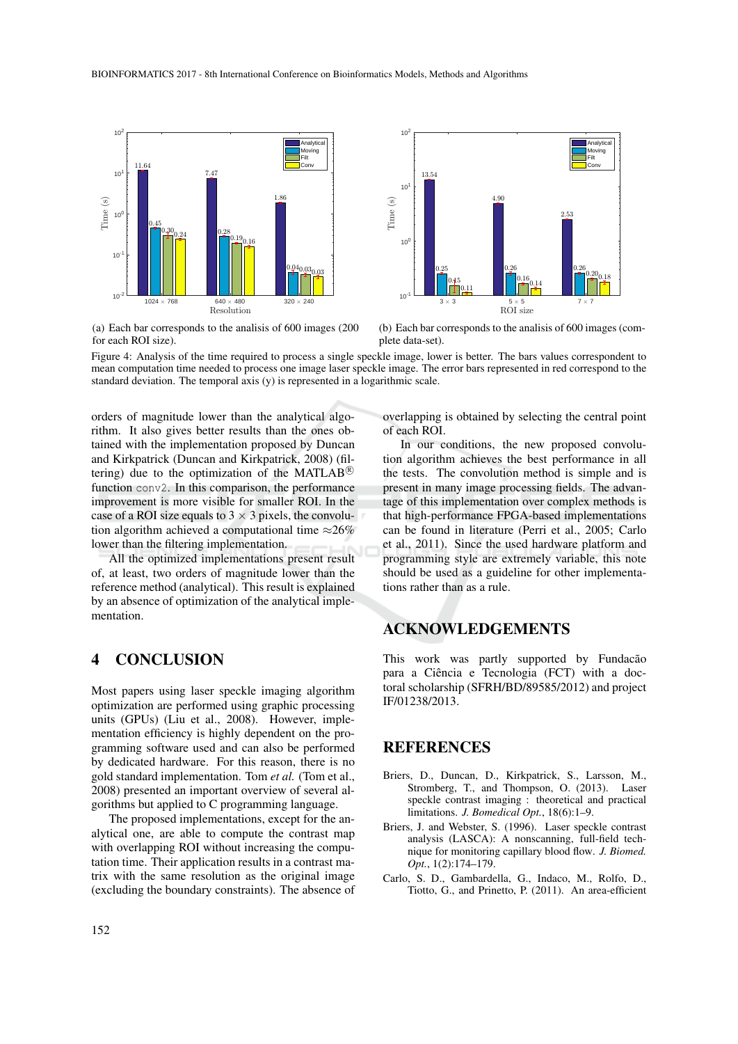



(a) Each bar corresponds to the analisis of 600 images (200 for each ROI size).

(b) Each bar corresponds to the analisis of 600 images (complete data-set).

Figure 4: Analysis of the time required to process a single speckle image, lower is better. The bars values correspondent to mean computation time needed to process one image laser speckle image. The error bars represented in red correspond to the standard deviation. The temporal axis (y) is represented in a logarithmic scale.

orders of magnitude lower than the analytical algorithm. It also gives better results than the ones obtained with the implementation proposed by Duncan and Kirkpatrick (Duncan and Kirkpatrick, 2008) (filtering) due to the optimization of the MATLAB<sup>®</sup> function conv2. In this comparison, the performance improvement is more visible for smaller ROI. In the case of a ROI size equals to  $3 \times 3$  pixels, the convolution algorithm achieved a computational time  $\approx 26\%$ lower than the filtering implementation.

All the optimized implementations present result of, at least, two orders of magnitude lower than the reference method (analytical). This result is explained by an absence of optimization of the analytical implementation.

### 4 CONCLUSION

Most papers using laser speckle imaging algorithm optimization are performed using graphic processing units (GPUs) (Liu et al., 2008). However, implementation efficiency is highly dependent on the programming software used and can also be performed by dedicated hardware. For this reason, there is no gold standard implementation. Tom *et al.* (Tom et al., 2008) presented an important overview of several algorithms but applied to C programming language.

The proposed implementations, except for the analytical one, are able to compute the contrast map with overlapping ROI without increasing the computation time. Their application results in a contrast matrix with the same resolution as the original image (excluding the boundary constraints). The absence of overlapping is obtained by selecting the central point of each ROI.

In our conditions, the new proposed convolution algorithm achieves the best performance in all the tests. The convolution method is simple and is present in many image processing fields. The advantage of this implementation over complex methods is that high-performance FPGA-based implementations can be found in literature (Perri et al., 2005; Carlo et al., 2011). Since the used hardware platform and programming style are extremely variable, this note should be used as a guideline for other implementations rather than as a rule.

## ACKNOWLEDGEMENTS

This work was partly supported by Fundacão para a Ciência e Tecnologia (FCT) with a doctoral scholarship (SFRH/BD/89585/2012) and project IF/01238/2013.

#### REFERENCES

- Briers, D., Duncan, D., Kirkpatrick, S., Larsson, M., Stromberg, T., and Thompson, O. (2013). Laser speckle contrast imaging : theoretical and practical limitations. *J. Bomedical Opt.*, 18(6):1–9.
- Briers, J. and Webster, S. (1996). Laser speckle contrast analysis (LASCA): A nonscanning, full-field technique for monitoring capillary blood flow. *J. Biomed. Opt.*, 1(2):174–179.
- Carlo, S. D., Gambardella, G., Indaco, M., Rolfo, D., Tiotto, G., and Prinetto, P. (2011). An area-efficient